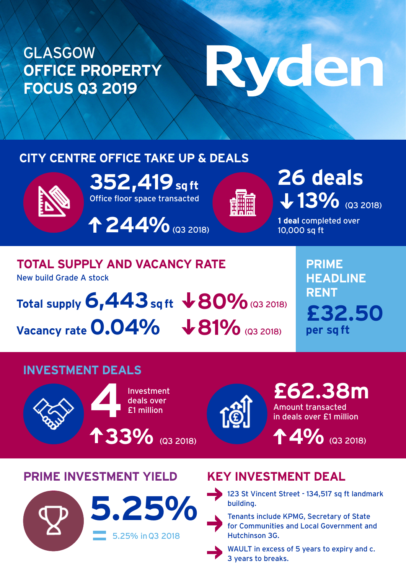#### GLASGOW **OFFICE PROPERTY FOCUS Q3 2019**

# Ryden

#### **CITY CENTRE OFFICE TAKE UP & DEALS**



Office floor space transacted **352,419 sq ft**

**244%** (Q3 2018)



## 13% (Q3 2018) **26 deals**

**1 deal** completed over 10,000 sq ft

### **TOTAL SUPPLY AND VACANCY RATE**

New build Grade A stock

Total supply  $6,443$  sq ft  $\sqrt{80\%}$  (Q3 2018) Vacancy rate 0.04%  $\sqrt{81\%}$  (Q3 2018)

**PRIME HEADLINE RENT £32.50 per sq ft**

#### **INVESTMENT DEALS**





Amount transacted in deals over £1 million **£62.38m**

**4 4%** (Q3 2018)

#### **PRIME INVESTMENT YIELD KEY INVESTMENT DEAL**





for Communities and Local Government and Hutchinson 3G.



WAULT in excess of 5 years to expiry and c. 3 years to breaks.